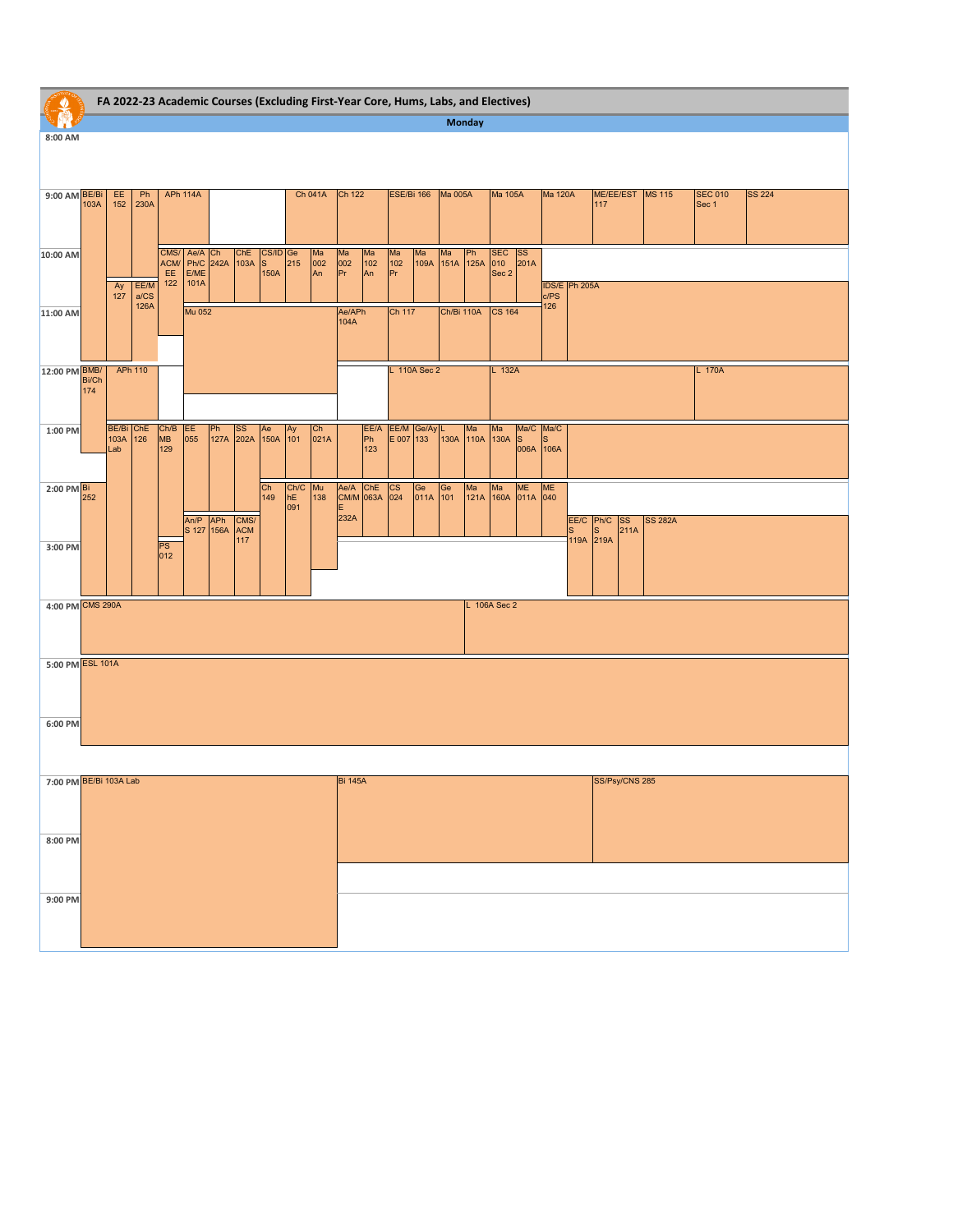|                                   | FA 2022-23 Academic Courses (Excluding First-Year Core, Hums, Labs, and Electives)<br><b>Monday</b>                                                                                                                                                   |                                                                                                                                                                                                                                                                                                                                                                                                                                                |  |           |                        |  |             |  |  |  |                |  |  |  |  |  |              |  |           |                      |                |  |  |
|-----------------------------------|-------------------------------------------------------------------------------------------------------------------------------------------------------------------------------------------------------------------------------------------------------|------------------------------------------------------------------------------------------------------------------------------------------------------------------------------------------------------------------------------------------------------------------------------------------------------------------------------------------------------------------------------------------------------------------------------------------------|--|-----------|------------------------|--|-------------|--|--|--|----------------|--|--|--|--|--|--------------|--|-----------|----------------------|----------------|--|--|
| 8:00 AM                           |                                                                                                                                                                                                                                                       |                                                                                                                                                                                                                                                                                                                                                                                                                                                |  |           |                        |  |             |  |  |  |                |  |  |  |  |  |              |  |           |                      |                |  |  |
|                                   | <b>APh 114A</b><br>Ch 041A<br>Ch 122<br><b>ESE/Bi 166</b><br><b>Ma 005A</b><br>Ma 105A<br><b>Ma 120A</b><br>ME/EE/EST MS 115<br><b>SEC 010</b><br><b>SS 224</b><br>EE<br>Ph<br>103A<br>152<br>230A<br>117<br>Sec 1                                    |                                                                                                                                                                                                                                                                                                                                                                                                                                                |  |           |                        |  |             |  |  |  |                |  |  |  |  |  |              |  |           |                      |                |  |  |
| 9:00 AM BE/Bi                     |                                                                                                                                                                                                                                                       |                                                                                                                                                                                                                                                                                                                                                                                                                                                |  |           |                        |  |             |  |  |  |                |  |  |  |  |  |              |  |           |                      |                |  |  |
| 10:00 AM                          |                                                                                                                                                                                                                                                       | SEC<br>010<br>CMS/<br>Ae/A Ch ChE<br>Ph/C 242A 103A<br>CS/ID Ge<br>S 215<br>Ma<br>002<br>Ma<br>002<br>Pr<br>Ma<br>Ma<br>Ma Ma<br>109A 151A<br>$\begin{array}{c}\n  \  \, \text{SS} \\ 201A\n \end{array}$<br>Ph<br>ACM/<br>102<br>102<br>125A<br>150A<br>EE<br>E/ME<br>An<br>Sec 2<br>An<br>Pr<br>$122$<br>101A<br>Ay<br>EE/M<br>IDS/E Ph 205A<br>127<br>a/CS<br>c/PS<br>126A<br>126<br><b>Mu 052</b><br>Ch 117<br>Ch/Bi 110A<br><b>CS 164</b> |  |           |                        |  |             |  |  |  |                |  |  |  |  |  |              |  |           |                      |                |  |  |
| 11:00 AM                          |                                                                                                                                                                                                                                                       |                                                                                                                                                                                                                                                                                                                                                                                                                                                |  |           |                        |  |             |  |  |  |                |  |  |  |  |  |              |  |           |                      |                |  |  |
|                                   | Ae/APh<br>104A                                                                                                                                                                                                                                        |                                                                                                                                                                                                                                                                                                                                                                                                                                                |  |           |                        |  |             |  |  |  |                |  |  |  |  |  |              |  |           |                      |                |  |  |
| 12:00 PM BMB/<br>Bi/Ch            | <b>APh 110</b><br>$L$ 110A Sec 2<br>L 132A<br>L 170A<br>174                                                                                                                                                                                           |                                                                                                                                                                                                                                                                                                                                                                                                                                                |  |           |                        |  |             |  |  |  |                |  |  |  |  |  |              |  |           |                      |                |  |  |
|                                   |                                                                                                                                                                                                                                                       |                                                                                                                                                                                                                                                                                                                                                                                                                                                |  |           |                        |  |             |  |  |  |                |  |  |  |  |  |              |  |           |                      |                |  |  |
| 1:00 PM                           | BE/Bi ChE<br>Ch/B<br>EE/A EE/M Ge/Ay<br>Ph E 007 133<br>Ma/C Ma/C<br>EE<br><b>Ch</b><br>L Ma Ma<br>130A 110A 130A<br>Ph SS<br>127A 202A<br>Ae<br>Ay<br>055<br>103A<br><b>MB</b><br>150A<br>021A<br>126<br>101<br>ls<br>129<br>123<br>006A 106A<br>Lab |                                                                                                                                                                                                                                                                                                                                                                                                                                                |  |           |                        |  |             |  |  |  |                |  |  |  |  |  |              |  |           |                      |                |  |  |
|                                   | Ch/C<br>hE<br>Ae/A ChE<br>CM/M 063A<br>2:00 PM Bi<br>252<br>$\frac{\text{Ch}}{149}$<br>Mu<br>138<br>$\frac{\text{CS}}{\text{024}}$<br>Ge Ge<br>011A 101<br>Ma Ma ME ME<br>121A 160A 011A 040<br>091                                                   |                                                                                                                                                                                                                                                                                                                                                                                                                                                |  |           |                        |  |             |  |  |  |                |  |  |  |  |  |              |  |           |                      |                |  |  |
|                                   |                                                                                                                                                                                                                                                       |                                                                                                                                                                                                                                                                                                                                                                                                                                                |  |           | An/P APh<br>S 127 156A |  | CMS/<br>ACM |  |  |  | Ε<br>232A      |  |  |  |  |  |              |  | EE/C<br>S | Ph/C SS<br>211A<br>Ś | <b>SS 282A</b> |  |  |
| 3:00 PM                           |                                                                                                                                                                                                                                                       |                                                                                                                                                                                                                                                                                                                                                                                                                                                |  | PS<br>012 |                        |  | 117         |  |  |  |                |  |  |  |  |  |              |  |           | 119A 219A            |                |  |  |
| 4:00 PM CMS 290A                  |                                                                                                                                                                                                                                                       |                                                                                                                                                                                                                                                                                                                                                                                                                                                |  |           |                        |  |             |  |  |  |                |  |  |  |  |  | L 106A Sec 2 |  |           |                      |                |  |  |
| 5:00 PM ESL 101A                  |                                                                                                                                                                                                                                                       |                                                                                                                                                                                                                                                                                                                                                                                                                                                |  |           |                        |  |             |  |  |  |                |  |  |  |  |  |              |  |           |                      |                |  |  |
| 6:00 PM                           |                                                                                                                                                                                                                                                       |                                                                                                                                                                                                                                                                                                                                                                                                                                                |  |           |                        |  |             |  |  |  |                |  |  |  |  |  |              |  |           |                      |                |  |  |
|                                   |                                                                                                                                                                                                                                                       |                                                                                                                                                                                                                                                                                                                                                                                                                                                |  |           |                        |  |             |  |  |  |                |  |  |  |  |  |              |  |           |                      |                |  |  |
| 7:00 PM BE/Bi 103A Lab<br>8:00 PM |                                                                                                                                                                                                                                                       |                                                                                                                                                                                                                                                                                                                                                                                                                                                |  |           |                        |  |             |  |  |  | <b>Bi 145A</b> |  |  |  |  |  |              |  |           | SS/Psy/CNS 285       |                |  |  |
|                                   |                                                                                                                                                                                                                                                       |                                                                                                                                                                                                                                                                                                                                                                                                                                                |  |           |                        |  |             |  |  |  |                |  |  |  |  |  |              |  |           |                      |                |  |  |
| 9:00 PM                           |                                                                                                                                                                                                                                                       |                                                                                                                                                                                                                                                                                                                                                                                                                                                |  |           |                        |  |             |  |  |  |                |  |  |  |  |  |              |  |           |                      |                |  |  |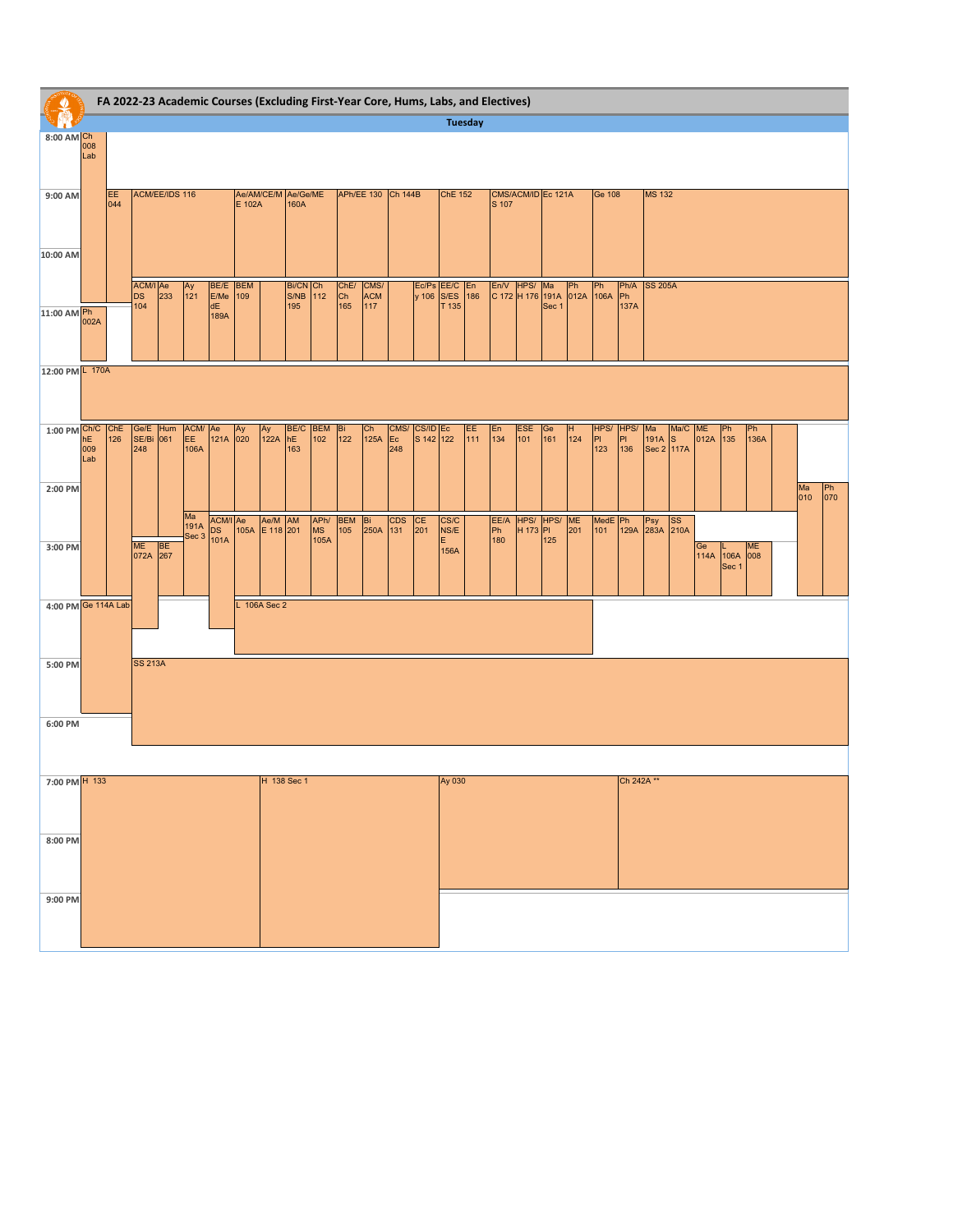| ◈                   |                  | FA 2022-23 Academic Courses (Excluding First-Year Core, Hums, Labs, and Electives) |                                 |                |                                |                         |            |                     |                   |                   |            |                    |                   |                       |                |                |           |                    |           |           |                   |                   |                          |                     |            |               |                  |           |                     |
|---------------------|------------------|------------------------------------------------------------------------------------|---------------------------------|----------------|--------------------------------|-------------------------|------------|---------------------|-------------------|-------------------|------------|--------------------|-------------------|-----------------------|----------------|----------------|-----------|--------------------|-----------|-----------|-------------------|-------------------|--------------------------|---------------------|------------|---------------|------------------|-----------|---------------------|
|                     |                  |                                                                                    |                                 |                |                                |                         |            |                     |                   |                   |            |                    |                   |                       |                | <b>Tuesday</b> |           |                    |           |           |                   |                   |                          |                     |            |               |                  |           |                     |
| 8:00 AM Ch          | 008<br>Lab       |                                                                                    |                                 |                |                                |                         |            |                     |                   |                   |            |                    |                   |                       |                |                |           |                    |           |           |                   |                   |                          |                     |            |               |                  |           |                     |
| 9:00 AM             |                  | EE<br>044                                                                          |                                 | ACM/EE/IDS 116 |                                |                         | E 102A     | Ae/AM/CE/M Ae/Ge/ME | 160A              |                   |            | APh/EE 130 Ch 144B |                   |                       | <b>ChE 152</b> |                | S 107     | CMS/ACM/ID Ec 121A |           |           | Ge 108            |                   | <b>MS 132</b>            |                     |            |               |                  |           |                     |
| 10:00 AM            |                  |                                                                                    | <b>ACM/I</b> Ae                 |                |                                | BE/E                    | <b>BEM</b> |                     | Bi/CN Ch          |                   | ChE/       | CMS/               |                   |                       | Ec/Ps EE/C En  |                | En/V      | HPS/Ma             |           | Ph        | Ph                | Ph/A              | <b>SS 205A</b>           |                     |            |               |                  |           |                     |
| 11:00 AM Ph         | 002A             |                                                                                    | <b>DS</b><br>104                | 233            | $\frac{\text{Ay}}{\text{121}}$ | E/Me<br>dE<br>189A      | 109        |                     | S/NB<br>195       | 112               | Ch<br>165  | <b>ACM</b><br>117  |                   | y 106 S/ES            | T 135          | 186            |           | C 172 H 176 191A   | Sec 1     | 012A 106A |                   | Ph<br>137A        |                          |                     |            |               |                  |           |                     |
| 12:00 PM L 170A     |                  |                                                                                    |                                 |                |                                |                         |            |                     |                   |                   |            |                    |                   |                       |                |                |           |                    |           |           |                   |                   |                          |                     |            |               |                  |           |                     |
| $1:00$ PM Ch/C      | hE<br>009<br>Lab | $\frac{\text{ChE}}{126}$                                                           | Ge/E<br><b>SE/Bi 061</b><br>248 | Hum            | ACM/<br>EE.<br>106A            | Ae Ay<br>121A 020<br>Ae |            | Ay<br>122A          | BE/C<br>hE<br>163 | <b>BEM</b><br>102 | Bi<br>122  | <b>Ch</b><br>125A  | CMS/<br>Ec<br>248 | CS/ID Ec<br>S 142 122 |                | EE<br>111      | En<br>134 | ESE<br>101         | Ge<br>161 | H<br>124  | HPS/<br>PI<br>123 | HPS/<br>PL<br>136 | Ma<br>191A<br>Sec 2 117A | Ma/C<br>$\mathbf S$ | МE<br>012A | Ph<br>135     | Ph<br>136A       |           |                     |
| 2:00 PM             |                  |                                                                                    |                                 |                | Ma                             | ACM/I Ae<br>DS 105A     |            | Ae/M AM             |                   | APh/              | <b>BEM</b> | Bi                 | <b>CDS</b>        |                       | CS/C           |                | EE/A      | HPS/               | HPS/ME    |           | MedE              | Ph                |                          |                     |            |               |                  | Ma<br>010 | $Ph$ <sub>070</sub> |
| 3:00 PM             |                  |                                                                                    | <b>ME</b><br>072A 267           | BE             | 191A<br>Sec 3                  | <b>DS</b><br>101A       |            | E 118 201           |                   | <b>MS</b><br>105A | 105        | 250A               | 131               | $CE$ <sub>201</sub>   | NS/E<br>156A   |                | Ph<br>180 | H 173 PI           | 125       | 201       | 101               | 129A              | Psy SS<br>283A 210A      |                     | Ge<br>114A | 106A<br>Sec 1 | <b>ME</b><br>008 |           |                     |
| 4:00 PM Ge 114A Lab |                  |                                                                                    |                                 |                |                                |                         |            | 106A Sec 2          |                   |                   |            |                    |                   |                       |                |                |           |                    |           |           |                   |                   |                          |                     |            |               |                  |           |                     |
| 5:00 PM             |                  |                                                                                    | <b>SS 213A</b>                  |                |                                |                         |            |                     |                   |                   |            |                    |                   |                       |                |                |           |                    |           |           |                   |                   |                          |                     |            |               |                  |           |                     |
| 6:00 PM             |                  |                                                                                    |                                 |                |                                |                         |            |                     |                   |                   |            |                    |                   |                       |                |                |           |                    |           |           |                   |                   |                          |                     |            |               |                  |           |                     |
| 7:00 PM H 133       |                  |                                                                                    |                                 |                |                                |                         |            | H 138 Sec 1         |                   |                   |            |                    |                   |                       | Ay 030         |                |           |                    |           |           |                   | Ch 242A **        |                          |                     |            |               |                  |           |                     |
| 8:00 PM             |                  |                                                                                    |                                 |                |                                |                         |            |                     |                   |                   |            |                    |                   |                       |                |                |           |                    |           |           |                   |                   |                          |                     |            |               |                  |           |                     |
| 9:00 PM             |                  |                                                                                    |                                 |                |                                |                         |            |                     |                   |                   |            |                    |                   |                       |                |                |           |                    |           |           |                   |                   |                          |                     |            |               |                  |           |                     |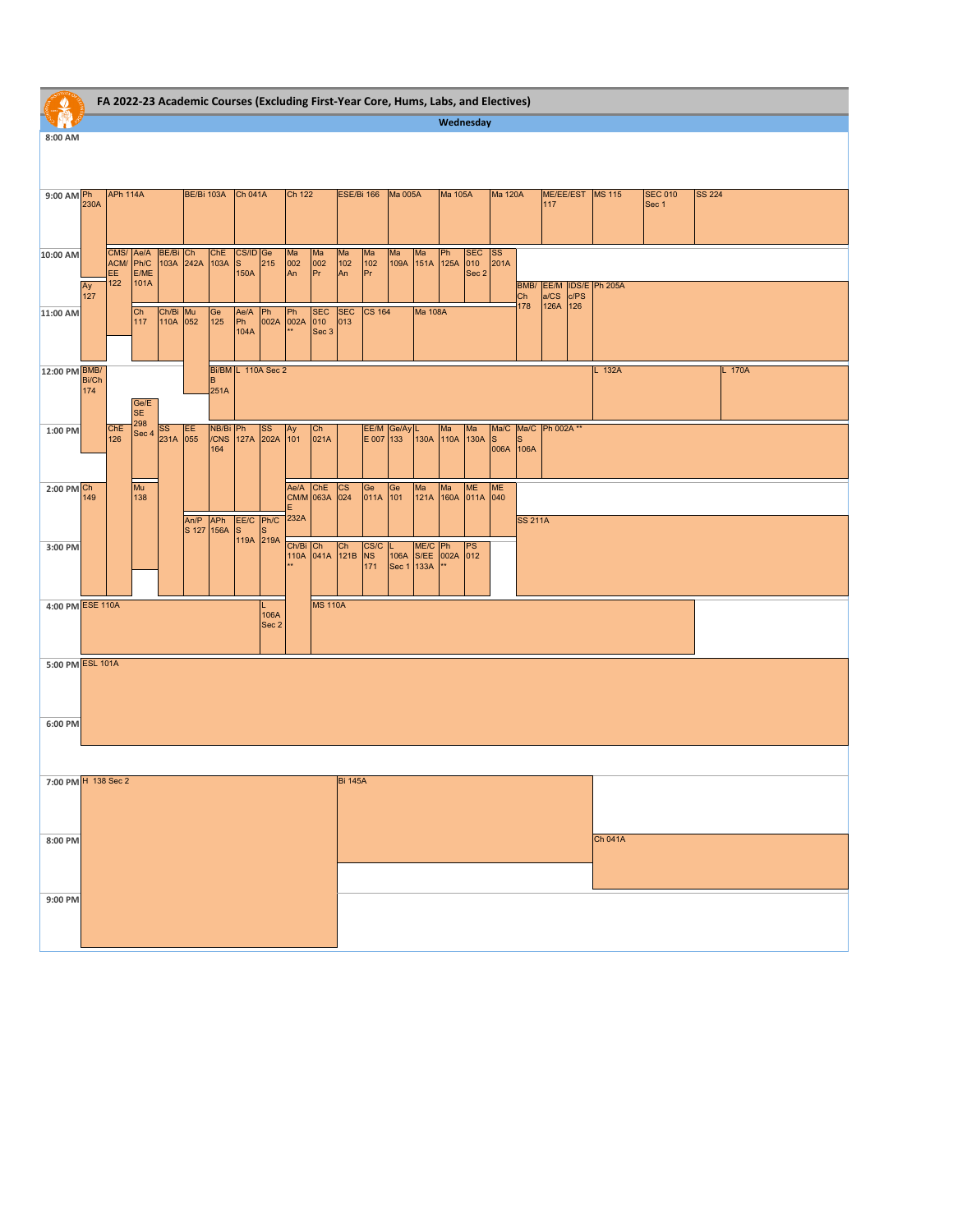| ◕                   |                                                                                                                                                                                        |                                  |                              |          |                                | FA 2022-23 Academic Courses (Excluding First-Year Core, Hums, Labs, and Electives) |                           |           |                          |                 |                   |                                                                           |                    |                                                            |                |                     |                                                             |           |                  |          |               |                         |               |  |  |  |
|---------------------|----------------------------------------------------------------------------------------------------------------------------------------------------------------------------------------|----------------------------------|------------------------------|----------|--------------------------------|------------------------------------------------------------------------------------|---------------------------|-----------|--------------------------|-----------------|-------------------|---------------------------------------------------------------------------|--------------------|------------------------------------------------------------|----------------|---------------------|-------------------------------------------------------------|-----------|------------------|----------|---------------|-------------------------|---------------|--|--|--|
| 8:00 AM             |                                                                                                                                                                                        |                                  |                              |          |                                |                                                                                    |                           |           |                          |                 |                   |                                                                           |                    |                                                            |                | Wednesday           |                                                             |           |                  |          |               |                         |               |  |  |  |
|                     |                                                                                                                                                                                        |                                  |                              |          |                                |                                                                                    |                           |           |                          |                 |                   |                                                                           |                    |                                                            |                |                     |                                                             |           |                  |          |               |                         |               |  |  |  |
| 9:00 AM Ph<br>230A  |                                                                                                                                                                                        | <b>APh 114A</b>                  |                              |          | BE/Bi 103A                     |                                                                                    | Ch 041A                   |           | Ch 122                   |                 | <b>ESE/Bi 166</b> |                                                                           | <b>Ma 005A</b>     |                                                            | Ma 105A        |                     | <b>Ma 120A</b>                                              |           | ME/EE/EST<br>117 |          | <b>MS 115</b> | <b>SEC 010</b><br>Sec 1 | <b>SS 224</b> |  |  |  |
| 10:00 AM            | Ay                                                                                                                                                                                     | CMS/<br><b>ACM/</b><br>EE<br>122 | Ae/A<br>Ph/C<br>E/ME<br>101A |          | BE/Bi Ch ChE<br>103A 242A 103A |                                                                                    | CS/ID Ge<br>S 215<br>150A |           | Ma<br>002<br>An          | Ma<br>002<br>Pr | Ma<br>102<br>An   | Ma<br>102<br>Pr                                                           | Ma<br>109A         | $M$ a<br>151A                                              | Ph<br>125A 010 | <b>SEC</b><br>Sec 2 | $\begin{array}{c}\n  \  \, \text{SS} \\ 201A\n \end{array}$ | BMB/ EE/M |                  |          | IDS/E Ph 205A |                         |               |  |  |  |
| 11:00 AM            | 127                                                                                                                                                                                    |                                  | Ch                           | Ch/Bi Mu |                                | Ge                                                                                 | Ae/A                      | Ph        | Ph                       | <b>SEC</b>      | <b>SEC</b>        | <b>CS 164</b>                                                             |                    | a/CS<br>c/PS<br>Ch<br>178<br>126A<br>126<br><b>Ma 108A</b> |                |                     |                                                             |           |                  |          |               |                         |               |  |  |  |
|                     |                                                                                                                                                                                        |                                  | 117                          | 110A 052 |                                | 125                                                                                | Ph<br>104A                | 002A 002A |                          | 010<br>Sec 3    | 013               |                                                                           |                    |                                                            |                |                     |                                                             |           |                  |          |               |                         |               |  |  |  |
| 12:00 PM BMB/       | Bi/BM L 110A Sec 2<br><b>Bi/Ch</b>                                                                                                                                                     |                                  |                              |          |                                |                                                                                    |                           |           |                          |                 |                   |                                                                           |                    |                                                            |                |                     |                                                             |           |                  | $L$ 132A |               |                         | $L$ 170A      |  |  |  |
|                     | 174<br>251A<br>Ge/E<br><b>SE</b><br>298<br>Ma/C Ma/C Ph 002A**<br>SS EE<br>231A 055<br>NB/BiPh<br>Ph SS Ay<br>127A 202A 101<br>EE/M Ge/Ay<br>Ma<br>Ma<br>ChE<br>Ch<br>130A 110A 130A S |                                  |                              |          |                                |                                                                                    |                           |           |                          |                 |                   |                                                                           |                    |                                                            |                |                     |                                                             |           |                  |          |               |                         |               |  |  |  |
| 1:00 PM             |                                                                                                                                                                                        | 126                              | Sec 4                        |          |                                | /CNS<br>164                                                                        |                           |           |                          | 021A            |                   | E 007 133                                                                 |                    |                                                            |                |                     | 006A                                                        | 106A      |                  |          |               |                         |               |  |  |  |
| 2:00 PM Ch          | 149                                                                                                                                                                                    |                                  | Mu<br>138                    |          |                                |                                                                                    |                           |           | Ae/A<br><b>CM/M 063A</b> | <b>ChE</b>      | <b>CS</b><br>024  | Ma<br>Ma<br>ME<br>Ge Ge<br>011A 101<br><b>ME</b><br>121A<br>160A 011A 040 |                    |                                                            |                |                     |                                                             |           |                  |          |               |                         |               |  |  |  |
|                     |                                                                                                                                                                                        |                                  |                              |          | An/P<br>S 127 156A             | APh                                                                                | EE/C Ph/C<br>S            |           | 232A                     |                 | <b>SS 211A</b>    |                                                                           |                    |                                                            |                |                     |                                                             |           |                  |          |               |                         |               |  |  |  |
| 3:00 PM             |                                                                                                                                                                                        |                                  |                              |          |                                |                                                                                    | 119A 219A                 |           | Ch/Bi Ch<br>110A         | 041A            | Ch<br>121B        | CS/C<br>NS<br>171                                                         | 106A<br>Sec 1 133A | ME/C<br>S/EE                                               | Ph<br>002A 012 | PS                  |                                                             |           |                  |          |               |                         |               |  |  |  |
| 4:00 PM ESE 110A    |                                                                                                                                                                                        |                                  |                              |          |                                |                                                                                    |                           | 106A      |                          | <b>MS 110A</b>  |                   |                                                                           |                    |                                                            |                |                     |                                                             |           |                  |          |               |                         |               |  |  |  |
|                     |                                                                                                                                                                                        |                                  |                              |          |                                |                                                                                    |                           | Sec 2     |                          |                 |                   |                                                                           |                    |                                                            |                |                     |                                                             |           |                  |          |               |                         |               |  |  |  |
| 5:00 PM ESL 101A    |                                                                                                                                                                                        |                                  |                              |          |                                |                                                                                    |                           |           |                          |                 |                   |                                                                           |                    |                                                            |                |                     |                                                             |           |                  |          |               |                         |               |  |  |  |
|                     |                                                                                                                                                                                        |                                  |                              |          |                                |                                                                                    |                           |           |                          |                 |                   |                                                                           |                    |                                                            |                |                     |                                                             |           |                  |          |               |                         |               |  |  |  |
| 6:00 PM             |                                                                                                                                                                                        |                                  |                              |          |                                |                                                                                    |                           |           |                          |                 |                   |                                                                           |                    |                                                            |                |                     |                                                             |           |                  |          |               |                         |               |  |  |  |
|                     |                                                                                                                                                                                        |                                  |                              |          |                                |                                                                                    |                           |           |                          |                 |                   |                                                                           |                    |                                                            |                |                     |                                                             |           |                  |          |               |                         |               |  |  |  |
| 7:00 PM H 138 Sec 2 |                                                                                                                                                                                        |                                  |                              |          |                                |                                                                                    |                           |           |                          |                 | <b>BI 145A</b>    |                                                                           |                    |                                                            |                |                     |                                                             |           |                  |          |               |                         |               |  |  |  |
| 8:00 PM             |                                                                                                                                                                                        |                                  |                              |          |                                |                                                                                    |                           |           |                          |                 |                   |                                                                           |                    |                                                            |                |                     |                                                             |           |                  |          | Ch 041A       |                         |               |  |  |  |
|                     |                                                                                                                                                                                        |                                  |                              |          |                                |                                                                                    |                           |           |                          |                 |                   |                                                                           |                    |                                                            |                |                     |                                                             |           |                  |          |               |                         |               |  |  |  |
| 9:00 PM             |                                                                                                                                                                                        |                                  |                              |          |                                |                                                                                    |                           |           |                          |                 |                   |                                                                           |                    |                                                            |                |                     |                                                             |           |                  |          |               |                         |               |  |  |  |
|                     |                                                                                                                                                                                        |                                  |                              |          |                                |                                                                                    |                           |           |                          |                 |                   |                                                                           |                    |                                                            |                |                     |                                                             |           |                  |          |               |                         |               |  |  |  |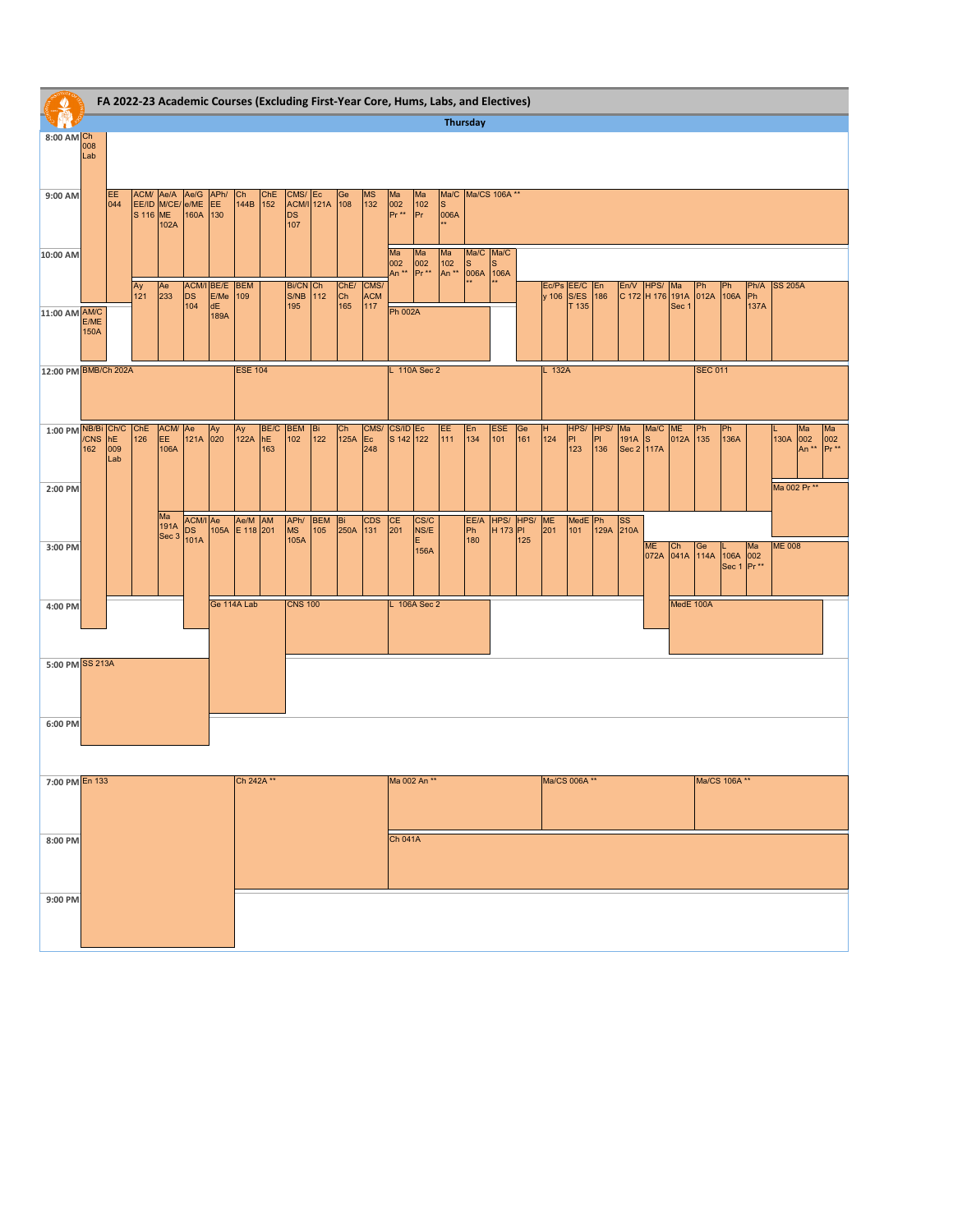| ♨                            | FA 2022-23 Academic Courses (Excluding First-Year Core, Hums, Labs, and Electives)<br>Thursday<br>8:00 AM Ch |            |                           |                       |                      |                            |                   |                          |                                   |                                |                   |                           |                       |                    |                   |                        |            |           |                     |                   |                   |                               |           |                          |                 |                                |                    |                                           |                    |
|------------------------------|--------------------------------------------------------------------------------------------------------------|------------|---------------------------|-----------------------|----------------------|----------------------------|-------------------|--------------------------|-----------------------------------|--------------------------------|-------------------|---------------------------|-----------------------|--------------------|-------------------|------------------------|------------|-----------|---------------------|-------------------|-------------------|-------------------------------|-----------|--------------------------|-----------------|--------------------------------|--------------------|-------------------------------------------|--------------------|
|                              |                                                                                                              |            |                           |                       |                      |                            |                   |                          |                                   |                                |                   |                           |                       |                    |                   |                        |            |           |                     |                   |                   |                               |           |                          |                 |                                |                    |                                           |                    |
|                              | 008<br>Lab                                                                                                   |            |                           |                       |                      |                            |                   |                          |                                   |                                |                   |                           |                       |                    |                   |                        |            |           |                     |                   |                   |                               |           |                          |                 |                                |                    |                                           |                    |
| 9:00 AM                      |                                                                                                              | EE<br>044  | ACM/<br>EE/ID<br>S 116 ME | Ae/A<br>M/CE/<br>102A | Ae/G<br>e/ME<br>160A | APh/<br>EE<br>130          | Ch<br>144B        | $\frac{\text{ChE}}{152}$ | CMS/Ec<br>ACM/I 121A<br>DS<br>107 |                                | Ge<br>108         | <b>MS</b><br>132          | Ma<br>002<br>Pr **    | Ma<br>102<br>Pr    | S<br>006A         | Ma/C Ma/CS 106A**      |            |           |                     |                   |                   |                               |           |                          |                 |                                |                    |                                           |                    |
| 10:00 AM                     |                                                                                                              |            |                           |                       |                      |                            |                   |                          |                                   |                                |                   |                           | Ma<br>002<br>An **    | Ma<br>002<br>Pr ** | Ma<br>102<br>An** | Ma/C<br>S<br>006A 106A | Ma/C<br>S  |           |                     |                   |                   |                               |           |                          |                 |                                |                    |                                           |                    |
| 11:00 AM AM/C                | E/ME<br>150A                                                                                                 |            | $\frac{\text{Ay}}{121}$   | Ae<br>233             | ACM/I<br>DS<br>104   | BE/E<br>E/Me<br>dE<br>189A | <b>BEM</b><br>109 |                          | <b>Bi/CN Ch</b><br>S/NB<br>195    | 112                            | ChE/<br>Ch<br>165 | CMS/<br><b>ACM</b><br>117 | <b>Ph 002A</b>        |                    |                   |                        |            |           | Ec/Ps EE/C<br>y 106 | S/ES<br>T 135     | En<br>186         | En/V HPS/<br>C 172 H 176 191A |           | Ma<br>Sec 1              | Ph<br>012A 106A | Ph                             | Ph/A<br>Ph<br>137A | <b>SS 205A</b>                            |                    |
| 12:00 PM BMB/Ch 202A         |                                                                                                              |            |                           |                       |                      |                            | <b>ESE 104</b>    |                          |                                   |                                |                   |                           |                       | L 110A Sec 2       |                   |                        |            |           | 132A                |                   |                   |                               |           |                          | <b>SEC 011</b>  |                                |                    |                                           |                    |
|                              |                                                                                                              |            |                           |                       |                      |                            |                   |                          |                                   |                                |                   |                           |                       |                    |                   |                        |            |           |                     |                   |                   |                               |           |                          |                 |                                |                    |                                           |                    |
| 1:00 PM NB/Bi Ch/C<br>CNS hE | 162                                                                                                          | 009<br>Lab | $\frac{\text{ChE}}{126}$  | ACM/<br>EE<br>106A    | Ae Ay<br>121A 020    |                            | Ay<br>122A        | BE/C<br>hE<br>163        | <b>BEM</b><br>102                 | $\frac{\text{Bi}}{\text{122}}$ | Ch<br>125A        | CMS/<br>Ec<br>248         | CS/ID Ec<br>S 142 122 |                    | EE<br>111         | $\frac{En}{134}$       | ESE<br>101 | Ge<br>161 | $\frac{H}{124}$     | hps/<br>Pi<br>123 | HPS/<br>PI<br>136 | Ma<br>191A<br>Sec 2 117A      |           | Ma/C ME Ph<br>S 012A 135 |                 | Ph<br>136A                     |                    | Ma<br>002<br>130A<br>An**<br>Ma 002 Pr ** | Ma<br>002<br>Pr ** |
| 2:00 PM                      |                                                                                                              |            |                           | Ma                    | <b>ACM/I</b> Ae      |                            | Ae/M              | AM                       | APh/                              | <b>BEM</b>                     | Bi                | <b>CDS</b>                | CE                    | CS/C               |                   | EE/A                   | HPS/       | HPS/      | ME                  | MedE              | Ph                | <b>SS</b>                     |           |                          |                 |                                |                    |                                           |                    |
| 3:00 PM                      |                                                                                                              |            |                           | 191A<br>Sec 3         | DS<br>101A           | 105A E 118 201             |                   |                          | <b>MS</b><br>105A                 | 105                            | 250A              | 131                       | 201                   | NS/E<br>156A       |                   | Ph<br>180              | H 173 PI   | 125       | 201                 | 101               | 129A 210A         |                               | <b>ME</b> | Ch<br>072A 041A 114A     | Ge              | 106A<br>Sec 1 Pr <sup>**</sup> | Ma<br>002          | <b>ME 008</b>                             |                    |
| 4:00 PM                      |                                                                                                              |            |                           |                       |                      |                            | Ge 114A Lab       |                          | <b>CNS 100</b>                    |                                |                   |                           |                       | 106A Sec 2         |                   |                        |            |           |                     |                   |                   |                               |           | MedE 100A                |                 |                                |                    |                                           |                    |
|                              |                                                                                                              |            |                           |                       |                      |                            |                   |                          |                                   |                                |                   |                           |                       |                    |                   |                        |            |           |                     |                   |                   |                               |           |                          |                 |                                |                    |                                           |                    |
| 5:00 PM SS 213A              |                                                                                                              |            |                           |                       |                      |                            |                   |                          |                                   |                                |                   |                           |                       |                    |                   |                        |            |           |                     |                   |                   |                               |           |                          |                 |                                |                    |                                           |                    |
| 6:00 PM                      |                                                                                                              |            |                           |                       |                      |                            |                   |                          |                                   |                                |                   |                           |                       |                    |                   |                        |            |           |                     |                   |                   |                               |           |                          |                 |                                |                    |                                           |                    |
| 7:00 PM En 133               |                                                                                                              |            |                           |                       |                      |                            | Ch 242A **        |                          |                                   |                                |                   |                           | Ma 002 An **          |                    |                   |                        |            |           |                     | Ma/CS 006A**      |                   |                               |           |                          |                 | Ma/CS 106A**                   |                    |                                           |                    |
| 8:00 PM                      |                                                                                                              |            |                           |                       |                      |                            |                   |                          |                                   |                                |                   |                           | <b>Ch 041A</b>        |                    |                   |                        |            |           |                     |                   |                   |                               |           |                          |                 |                                |                    |                                           |                    |
| 9:00 PM                      |                                                                                                              |            |                           |                       |                      |                            |                   |                          |                                   |                                |                   |                           |                       |                    |                   |                        |            |           |                     |                   |                   |                               |           |                          |                 |                                |                    |                                           |                    |